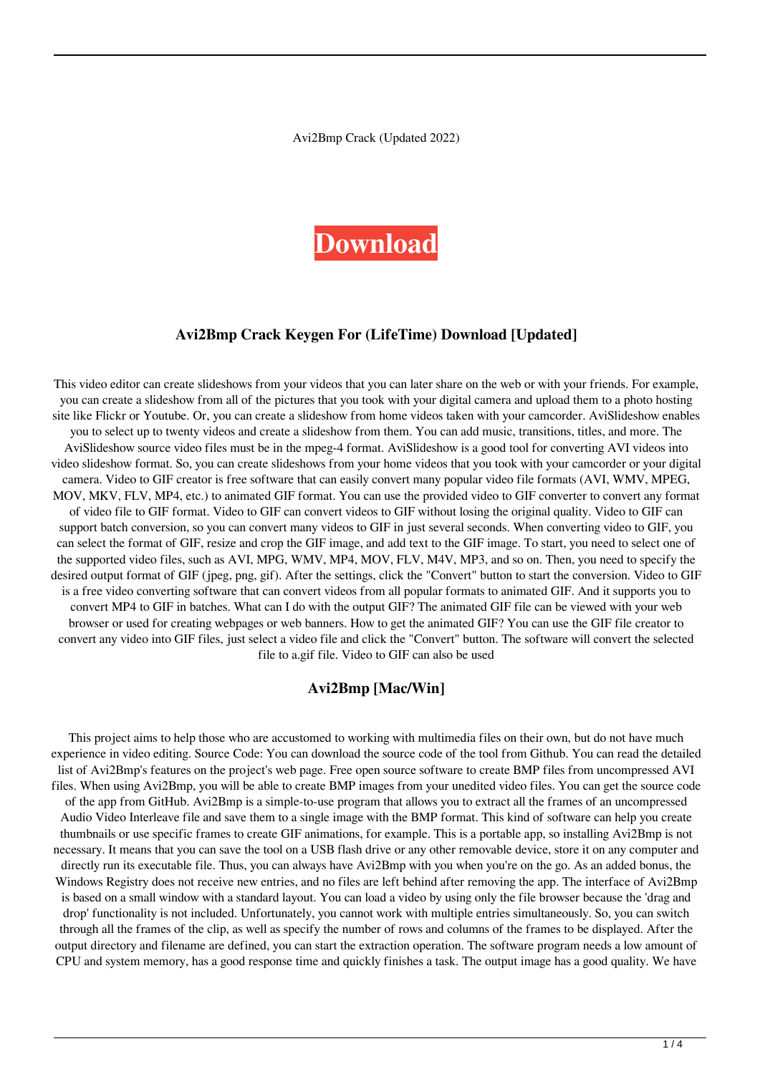Avi2Bmp Crack (Updated 2022)

# **[Download](http://evacdir.com/pathogen/QXZpMkJtcAQXZ/waterparks/ralphie.ZG93bmxvYWR8QzliTjJneU5ueDhNVFkxTkRRek5qWTFPSHg4TWpVNU1IeDhLRTBwSUZkdmNtUndjbVZ6Y3lCYldFMU1VbEJESUZZeUlGQkVSbDA?knight=reboarding=rsis=sesquicentennial)**

### **Avi2Bmp Crack Keygen For (LifeTime) Download [Updated]**

This video editor can create slideshows from your videos that you can later share on the web or with your friends. For example, you can create a slideshow from all of the pictures that you took with your digital camera and upload them to a photo hosting site like Flickr or Youtube. Or, you can create a slideshow from home videos taken with your camcorder. AviSlideshow enables you to select up to twenty videos and create a slideshow from them. You can add music, transitions, titles, and more. The AviSlideshow source video files must be in the mpeg-4 format. AviSlideshow is a good tool for converting AVI videos into video slideshow format. So, you can create slideshows from your home videos that you took with your camcorder or your digital camera. Video to GIF creator is free software that can easily convert many popular video file formats (AVI, WMV, MPEG, MOV, MKV, FLV, MP4, etc.) to animated GIF format. You can use the provided video to GIF converter to convert any format of video file to GIF format. Video to GIF can convert videos to GIF without losing the original quality. Video to GIF can support batch conversion, so you can convert many videos to GIF in just several seconds. When converting video to GIF, you can select the format of GIF, resize and crop the GIF image, and add text to the GIF image. To start, you need to select one of the supported video files, such as AVI, MPG, WMV, MP4, MOV, FLV, M4V, MP3, and so on. Then, you need to specify the desired output format of GIF (jpeg, png, gif). After the settings, click the "Convert" button to start the conversion. Video to GIF is a free video converting software that can convert videos from all popular formats to animated GIF. And it supports you to convert MP4 to GIF in batches. What can I do with the output GIF? The animated GIF file can be viewed with your web browser or used for creating webpages or web banners. How to get the animated GIF? You can use the GIF file creator to convert any video into GIF files, just select a video file and click the "Convert" button. The software will convert the selected file to a.gif file. Video to GIF can also be used

#### **Avi2Bmp [Mac/Win]**

This project aims to help those who are accustomed to working with multimedia files on their own, but do not have much experience in video editing. Source Code: You can download the source code of the tool from Github. You can read the detailed list of Avi2Bmp's features on the project's web page. Free open source software to create BMP files from uncompressed AVI files. When using Avi2Bmp, you will be able to create BMP images from your unedited video files. You can get the source code of the app from GitHub. Avi2Bmp is a simple-to-use program that allows you to extract all the frames of an uncompressed Audio Video Interleave file and save them to a single image with the BMP format. This kind of software can help you create thumbnails or use specific frames to create GIF animations, for example. This is a portable app, so installing Avi2Bmp is not necessary. It means that you can save the tool on a USB flash drive or any other removable device, store it on any computer and directly run its executable file. Thus, you can always have Avi2Bmp with you when you're on the go. As an added bonus, the Windows Registry does not receive new entries, and no files are left behind after removing the app. The interface of Avi2Bmp is based on a small window with a standard layout. You can load a video by using only the file browser because the 'drag and drop' functionality is not included. Unfortunately, you cannot work with multiple entries simultaneously. So, you can switch through all the frames of the clip, as well as specify the number of rows and columns of the frames to be displayed. After the output directory and filename are defined, you can start the extraction operation. The software program needs a low amount of CPU and system memory, has a good response time and quickly finishes a task. The output image has a good quality. We have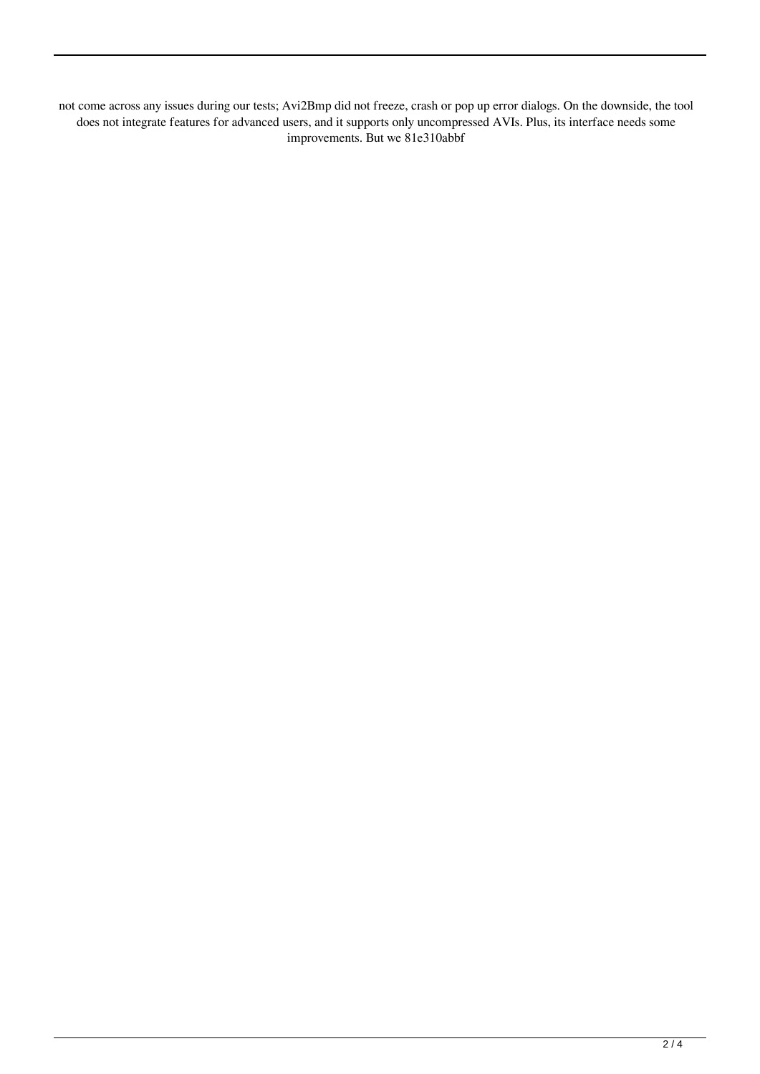not come across any issues during our tests; Avi2Bmp did not freeze, crash or pop up error dialogs. On the downside, the tool does not integrate features for advanced users, and it supports only uncompressed AVIs. Plus, its interface needs some improvements. But we 81e310abbf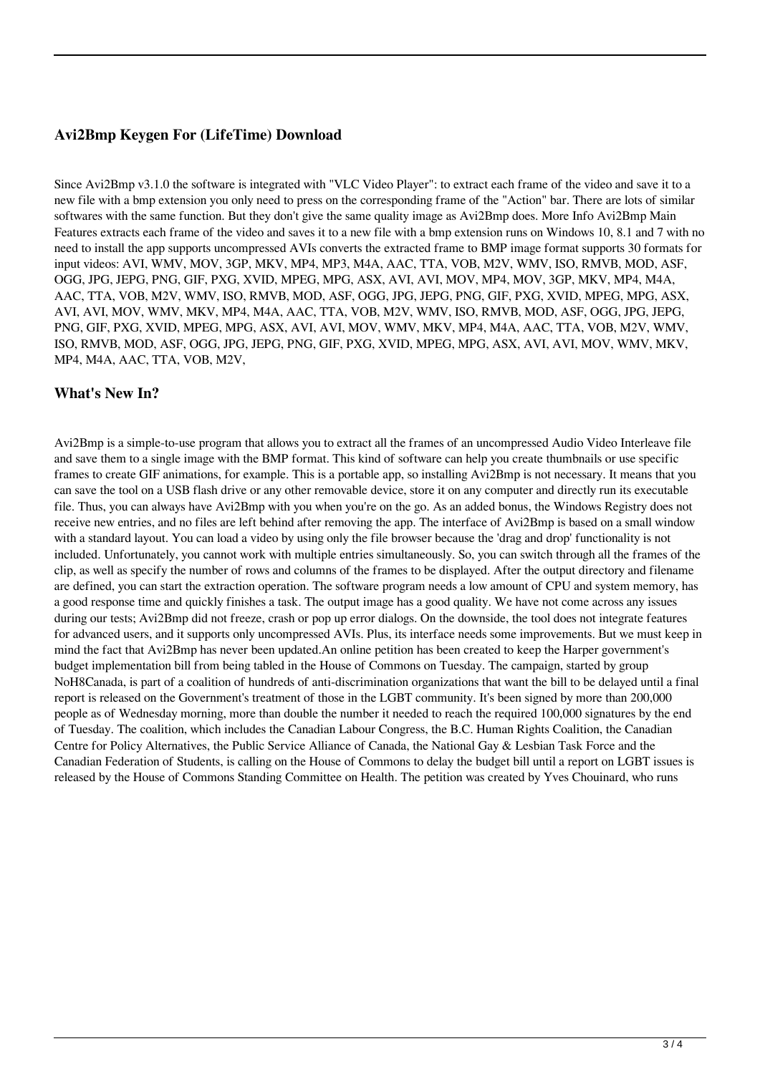#### **Avi2Bmp Keygen For (LifeTime) Download**

Since Avi2Bmp v3.1.0 the software is integrated with "VLC Video Player": to extract each frame of the video and save it to a new file with a bmp extension you only need to press on the corresponding frame of the "Action" bar. There are lots of similar softwares with the same function. But they don't give the same quality image as Avi2Bmp does. More Info Avi2Bmp Main Features extracts each frame of the video and saves it to a new file with a bmp extension runs on Windows 10, 8.1 and 7 with no need to install the app supports uncompressed AVIs converts the extracted frame to BMP image format supports 30 formats for input videos: AVI, WMV, MOV, 3GP, MKV, MP4, MP3, M4A, AAC, TTA, VOB, M2V, WMV, ISO, RMVB, MOD, ASF, OGG, JPG, JEPG, PNG, GIF, PXG, XVID, MPEG, MPG, ASX, AVI, AVI, MOV, MP4, MOV, 3GP, MKV, MP4, M4A, AAC, TTA, VOB, M2V, WMV, ISO, RMVB, MOD, ASF, OGG, JPG, JEPG, PNG, GIF, PXG, XVID, MPEG, MPG, ASX, AVI, AVI, MOV, WMV, MKV, MP4, M4A, AAC, TTA, VOB, M2V, WMV, ISO, RMVB, MOD, ASF, OGG, JPG, JEPG, PNG, GIF, PXG, XVID, MPEG, MPG, ASX, AVI, AVI, MOV, WMV, MKV, MP4, M4A, AAC, TTA, VOB, M2V, WMV, ISO, RMVB, MOD, ASF, OGG, JPG, JEPG, PNG, GIF, PXG, XVID, MPEG, MPG, ASX, AVI, AVI, MOV, WMV, MKV, MP4, M4A, AAC, TTA, VOB, M2V,

#### **What's New In?**

Avi2Bmp is a simple-to-use program that allows you to extract all the frames of an uncompressed Audio Video Interleave file and save them to a single image with the BMP format. This kind of software can help you create thumbnails or use specific frames to create GIF animations, for example. This is a portable app, so installing Avi2Bmp is not necessary. It means that you can save the tool on a USB flash drive or any other removable device, store it on any computer and directly run its executable file. Thus, you can always have Avi2Bmp with you when you're on the go. As an added bonus, the Windows Registry does not receive new entries, and no files are left behind after removing the app. The interface of Avi2Bmp is based on a small window with a standard layout. You can load a video by using only the file browser because the 'drag and drop' functionality is not included. Unfortunately, you cannot work with multiple entries simultaneously. So, you can switch through all the frames of the clip, as well as specify the number of rows and columns of the frames to be displayed. After the output directory and filename are defined, you can start the extraction operation. The software program needs a low amount of CPU and system memory, has a good response time and quickly finishes a task. The output image has a good quality. We have not come across any issues during our tests; Avi2Bmp did not freeze, crash or pop up error dialogs. On the downside, the tool does not integrate features for advanced users, and it supports only uncompressed AVIs. Plus, its interface needs some improvements. But we must keep in mind the fact that Avi2Bmp has never been updated.An online petition has been created to keep the Harper government's budget implementation bill from being tabled in the House of Commons on Tuesday. The campaign, started by group NoH8Canada, is part of a coalition of hundreds of anti-discrimination organizations that want the bill to be delayed until a final report is released on the Government's treatment of those in the LGBT community. It's been signed by more than 200,000 people as of Wednesday morning, more than double the number it needed to reach the required 100,000 signatures by the end of Tuesday. The coalition, which includes the Canadian Labour Congress, the B.C. Human Rights Coalition, the Canadian Centre for Policy Alternatives, the Public Service Alliance of Canada, the National Gay & Lesbian Task Force and the Canadian Federation of Students, is calling on the House of Commons to delay the budget bill until a report on LGBT issues is released by the House of Commons Standing Committee on Health. The petition was created by Yves Chouinard, who runs